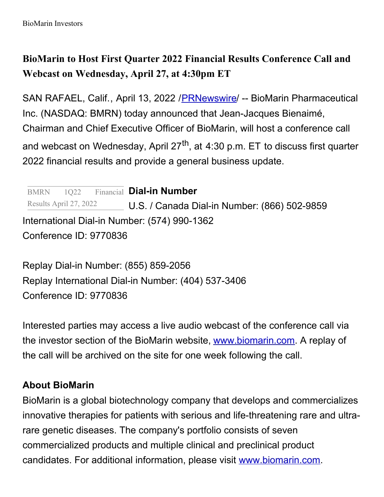## **BioMarin to Host First Quarter 2022 Financial Results Conference Call and Webcast on Wednesday, April 27, at 4:30pm ET**

SAN RAFAEL, Calif., April 13, 2022 /**[PRNewswire](http://www.prnewswire.com/)/ -- BioMarin Pharmaceutical** Inc. (NASDAQ: BMRN) today announced that Jean-Jacques Bienaimé, Chairman and Chief Executive Officer of BioMarin, will host a conference call and webcast on Wednesday, April 27<sup>th</sup>, at 4:30 p.m. ET to discuss first quarter 2022 financial results and provide a general business update.

**Dial-in Number** U.S. / Canada Dial-in Number: (866) 502-9859 International Dial-in Number: (574) 990-1362 Conference ID: 9770836 BMRN 1Q22 Results April 27, 2022

Replay Dial-in Number: (855) 859-2056 Replay International Dial-in Number: (404) 537-3406 Conference ID: 9770836

Interested parties may access a live audio webcast of the conference call via the investor section of the BioMarin website, [www.biomarin.com](https://c212.net/c/link/?t=0&l=en&o=3502020-1&h=3819362591&u=http%3A%2F%2Fwww.biomarin.com%2F&a=www.biomarin.com). A replay of the call will be archived on the site for one week following the call.

## **About BioMarin**

BioMarin is a global biotechnology company that develops and commercializes innovative therapies for patients with serious and life-threatening rare and ultrarare genetic diseases. The company's portfolio consists of seven commercialized products and multiple clinical and preclinical product candidates. For additional information, please visit [www.biomarin.com](https://c212.net/c/link/?t=0&l=en&o=3502020-1&h=1005979981&u=https%3A%2F%2Fc212.net%2Fc%2Flink%2F%3Ft%3D0%26l%3Den%26o%3D2592852-1%26h%3D2461800811%26u%3Dhttps%253A%252F%252Fc212.net%252Fc%252Flink%252F%253Ft%253D0%2526l%253Den%2526o%253D2369755-1%2526h%253D586143538%2526u%253Dhttp%25253A%25252F%25252Fwww.biomarin.com%25252F%2526a%253Dwww.biomarin.com%26a%3Dwww.biomarin.com&a=www.biomarin.com).